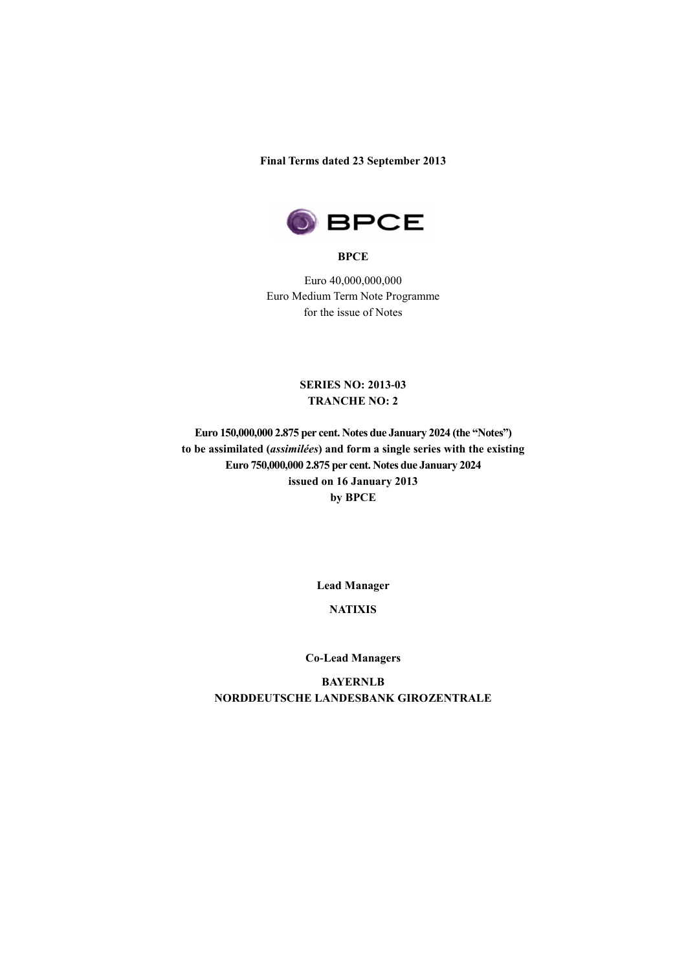**Final Terms dated 23 September 2013**



**BPCE**

Euro 40,000,000,000 Euro Medium Term Note Programme for the issue of Notes

### **SERIES NO: 2013-03 TRANCHE NO: 2**

**Euro 150,000,000 2.875 per cent. Notes due January 2024 (the "Notes") to be assimilated (***assimilées***) and form a single series with the existing Euro 750,000,000 2.875 per cent. Notes due January 2024 issued on 16 January 2013 by BPCE** 

**Lead Manager**

# **NATIXIS**

#### **Co-Lead Managers**

**BAYERNLB NORDDEUTSCHE LANDESBANK GIROZENTRALE**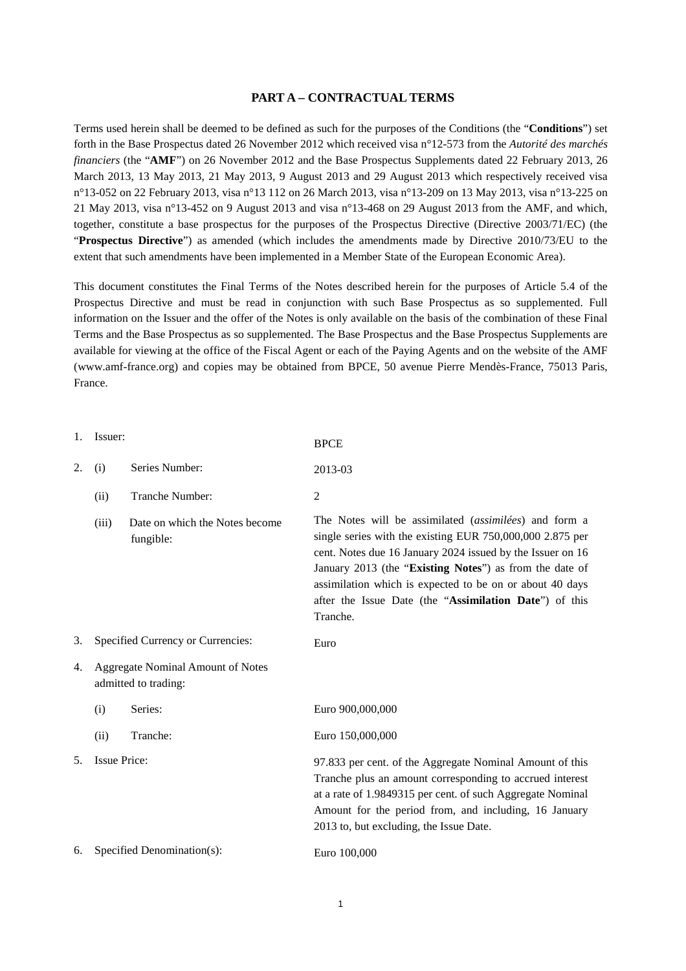### **PART A – CONTRACTUAL TERMS**

Terms used herein shall be deemed to be defined as such for the purposes of the Conditions (the "**Conditions**") set forth in the Base Prospectus dated 26 November 2012 which received visa n°12-573 from the *Autorité des marchés financiers* (the "**AMF**") on 26 November 2012 and the Base Prospectus Supplements dated 22 February 2013, 26 March 2013, 13 May 2013, 21 May 2013, 9 August 2013 and 29 August 2013 which respectively received visa n°13-052 on 22 February 2013, visa n°13 112 on 26 March 2013, visa n°13-209 on 13 May 2013, visa n°13-225 on 21 May 2013, visa n°13-452 on 9 August 2013 and visa n°13-468 on 29 August 2013 from the AMF, and which, together, constitute a base prospectus for the purposes of the Prospectus Directive (Directive 2003/71/EC) (the "**Prospectus Directive**") as amended (which includes the amendments made by Directive 2010/73/EU to the extent that such amendments have been implemented in a Member State of the European Economic Area).

This document constitutes the Final Terms of the Notes described herein for the purposes of Article 5.4 of the Prospectus Directive and must be read in conjunction with such Base Prospectus as so supplemented. Full information on the Issuer and the offer of the Notes is only available on the basis of the combination of these Final Terms and the Base Prospectus as so supplemented. The Base Prospectus and the Base Prospectus Supplements are available for viewing at the office of the Fiscal Agent or each of the Paying Agents and on the website of the AMF (www.amf-france.org) and copies may be obtained from BPCE, 50 avenue Pierre Mendès-France, 75013 Paris, France.

| 1. | Issuer:                                                          |                                             | <b>BPCE</b>                                                                                                                                                                                                                                                                                                                                                                   |
|----|------------------------------------------------------------------|---------------------------------------------|-------------------------------------------------------------------------------------------------------------------------------------------------------------------------------------------------------------------------------------------------------------------------------------------------------------------------------------------------------------------------------|
| 2. | (i)                                                              | Series Number:                              | 2013-03                                                                                                                                                                                                                                                                                                                                                                       |
|    | (ii)                                                             | Tranche Number:                             | $\overline{2}$                                                                                                                                                                                                                                                                                                                                                                |
|    | (iii)                                                            | Date on which the Notes become<br>fungible: | The Notes will be assimilated (assimilées) and form a<br>single series with the existing EUR 750,000,000 2.875 per<br>cent. Notes due 16 January 2024 issued by the Issuer on 16<br>January 2013 (the "Existing Notes") as from the date of<br>assimilation which is expected to be on or about 40 days<br>after the Issue Date (the "Assimilation Date") of this<br>Tranche. |
| 3. |                                                                  | Specified Currency or Currencies:           | Euro                                                                                                                                                                                                                                                                                                                                                                          |
| 4. | <b>Aggregate Nominal Amount of Notes</b><br>admitted to trading: |                                             |                                                                                                                                                                                                                                                                                                                                                                               |
|    | (i)                                                              | Series:                                     | Euro 900,000,000                                                                                                                                                                                                                                                                                                                                                              |
|    | (ii)                                                             | Tranche:                                    | Euro 150,000,000                                                                                                                                                                                                                                                                                                                                                              |
| 5. | <b>Issue Price:</b>                                              |                                             | 97.833 per cent. of the Aggregate Nominal Amount of this<br>Tranche plus an amount corresponding to accrued interest<br>at a rate of 1.9849315 per cent. of such Aggregate Nominal<br>Amount for the period from, and including, 16 January<br>2013 to, but excluding, the Issue Date.                                                                                        |
| 6. |                                                                  | Specified Denomination(s):                  | Euro 100,000                                                                                                                                                                                                                                                                                                                                                                  |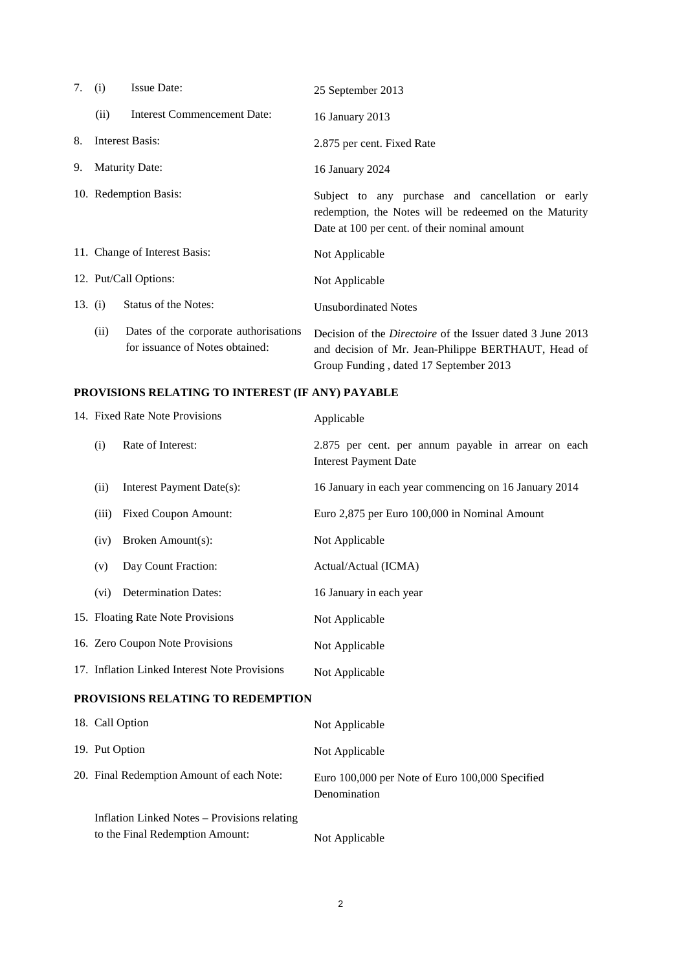| 7. | (i)                   | <b>Issue Date:</b>                                                       | 25 September 2013                                                                                                                                                  |
|----|-----------------------|--------------------------------------------------------------------------|--------------------------------------------------------------------------------------------------------------------------------------------------------------------|
|    | (ii)                  | <b>Interest Commencement Date:</b>                                       | 16 January 2013                                                                                                                                                    |
| 8. |                       | Interest Basis:                                                          | 2.875 per cent. Fixed Rate                                                                                                                                         |
| 9. |                       | <b>Maturity Date:</b>                                                    | 16 January 2024                                                                                                                                                    |
|    |                       | 10. Redemption Basis:                                                    | Subject to any purchase and cancellation or early<br>redemption, the Notes will be redeemed on the Maturity<br>Date at 100 per cent. of their nominal amount       |
|    |                       | 11. Change of Interest Basis:                                            | Not Applicable                                                                                                                                                     |
|    | 12. Put/Call Options: |                                                                          | Not Applicable                                                                                                                                                     |
|    | 13. (i)               | <b>Status of the Notes:</b>                                              | <b>Unsubordinated Notes</b>                                                                                                                                        |
|    | (ii)                  | Dates of the corporate authorisations<br>for issuance of Notes obtained: | Decision of the <i>Directoire</i> of the Issuer dated 3 June 2013<br>and decision of Mr. Jean-Philippe BERTHAUT, Head of<br>Group Funding, dated 17 September 2013 |

# **PROVISIONS RELATING TO INTEREST (IF ANY) PAYABLE**

| 14. Fixed Rate Note Provisions |                                               | Applicable                                                                          |
|--------------------------------|-----------------------------------------------|-------------------------------------------------------------------------------------|
| (i)                            | Rate of Interest:                             | 2.875 per cent. per annum payable in arrear on each<br><b>Interest Payment Date</b> |
| (ii)                           | Interest Payment Date(s):                     | 16 January in each year commencing on 16 January 2014                               |
| (iii)                          | <b>Fixed Coupon Amount:</b>                   | Euro 2,875 per Euro 100,000 in Nominal Amount                                       |
| (iv)                           | Broken Amount(s):                             | Not Applicable                                                                      |
| (v)                            | Day Count Fraction:                           | Actual/Actual (ICMA)                                                                |
| (vi)                           | <b>Determination Dates:</b>                   | 16 January in each year                                                             |
|                                | 15. Floating Rate Note Provisions             | Not Applicable                                                                      |
|                                | 16. Zero Coupon Note Provisions               | Not Applicable                                                                      |
|                                | 17. Inflation Linked Interest Note Provisions | Not Applicable                                                                      |
|                                | DDAVICIANC DEL 4 THAC TA DEDEMOTIAN           |                                                                                     |

#### **PROVISIONS RELATING TO REDEMPTION**

| 18. Call Option                                                                 | Not Applicable                                                  |
|---------------------------------------------------------------------------------|-----------------------------------------------------------------|
| 19. Put Option                                                                  | Not Applicable                                                  |
| 20. Final Redemption Amount of each Note:                                       | Euro 100,000 per Note of Euro 100,000 Specified<br>Denomination |
| Inflation Linked Notes – Provisions relating<br>to the Final Redemption Amount: | Not Applicable                                                  |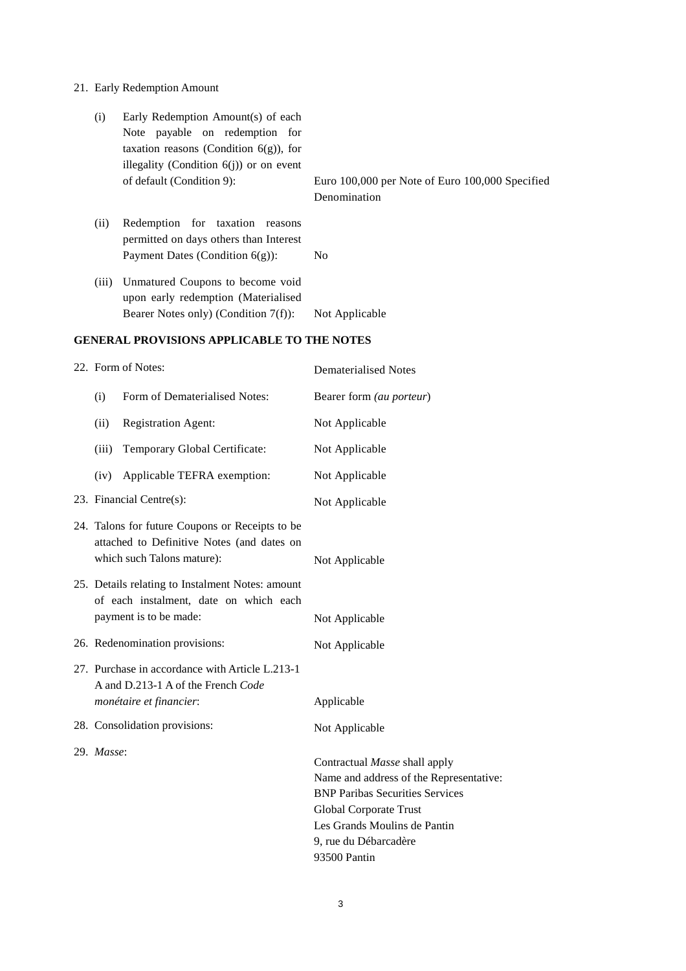# 21. Early Redemption Amount

|                                                   | (i)   | Early Redemption Amount(s) of each<br>Note payable on redemption for<br>taxation reasons (Condition $6(g)$ ), for<br>illegality (Condition $6(j)$ ) or on event<br>of default (Condition 9): | Euro 100,000 per Note of Euro 100,000 Specified |
|---------------------------------------------------|-------|----------------------------------------------------------------------------------------------------------------------------------------------------------------------------------------------|-------------------------------------------------|
|                                                   |       |                                                                                                                                                                                              | Denomination                                    |
|                                                   | (ii)  | Redemption for taxation reasons<br>permitted on days others than Interest                                                                                                                    |                                                 |
|                                                   |       | Payment Dates (Condition $6(g)$ ):                                                                                                                                                           | N <sub>o</sub>                                  |
|                                                   | (iii) | Unmatured Coupons to become void<br>upon early redemption (Materialised                                                                                                                      |                                                 |
|                                                   |       | Bearer Notes only) (Condition $7(f)$ ):                                                                                                                                                      | Not Applicable                                  |
| <b>GENERAL PROVISIONS APPLICABLE TO THE NOTES</b> |       |                                                                                                                                                                                              |                                                 |
|                                                   |       | 22. Form of Notes:                                                                                                                                                                           | Dematerialised Notes                            |
|                                                   |       |                                                                                                                                                                                              |                                                 |

| (i)        | Form of Dematerialised Notes:                                                                                               | Bearer form (au porteur)                                                                                                                                                                                              |
|------------|-----------------------------------------------------------------------------------------------------------------------------|-----------------------------------------------------------------------------------------------------------------------------------------------------------------------------------------------------------------------|
| (ii)       | <b>Registration Agent:</b>                                                                                                  | Not Applicable                                                                                                                                                                                                        |
| (iii)      | Temporary Global Certificate:                                                                                               | Not Applicable                                                                                                                                                                                                        |
| (iv)       | Applicable TEFRA exemption:                                                                                                 | Not Applicable                                                                                                                                                                                                        |
|            | 23. Financial Centre(s):                                                                                                    | Not Applicable                                                                                                                                                                                                        |
|            | 24. Talons for future Coupons or Receipts to be<br>attached to Definitive Notes (and dates on<br>which such Talons mature): | Not Applicable                                                                                                                                                                                                        |
|            | 25. Details relating to Instalment Notes: amount<br>of each instalment, date on which each<br>payment is to be made:        | Not Applicable                                                                                                                                                                                                        |
|            | 26. Redenomination provisions:                                                                                              | Not Applicable                                                                                                                                                                                                        |
|            | 27. Purchase in accordance with Article L.213-1<br>A and D.213-1 A of the French Code                                       |                                                                                                                                                                                                                       |
|            | monétaire et financier:                                                                                                     | Applicable                                                                                                                                                                                                            |
|            | 28. Consolidation provisions:                                                                                               | Not Applicable                                                                                                                                                                                                        |
| 29. Masse: |                                                                                                                             | Contractual Masse shall apply<br>Name and address of the Representative:<br><b>BNP Paribas Securities Services</b><br>Global Corporate Trust<br>Les Grands Moulins de Pantin<br>9, rue du Débarcadère<br>93500 Pantin |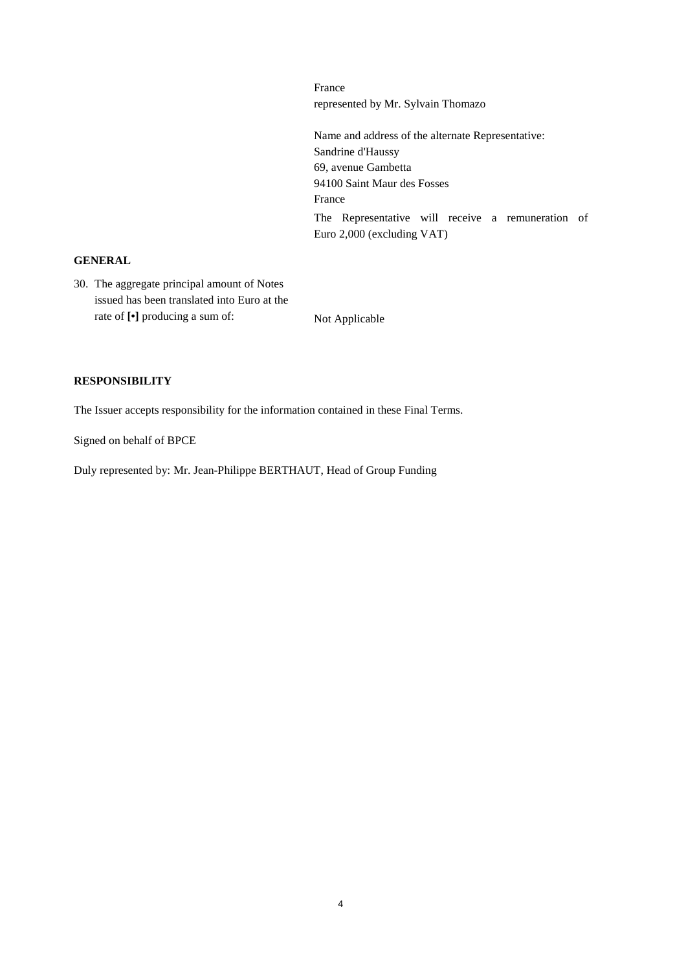represented by Mr. Sylvain Thomazo Name and address of the alternate Representative: Sandrine d'Haussy 69, avenue Gambetta 94100 Saint Maur des Fosses France The Representative will receive a remuneration of Euro 2,000 (excluding VAT)

# **GENERAL**

30. The aggregate principal amount of Notes issued has been translated into Euro at the rate of  $\lbrack \bullet \rbrack$  producing a sum of: Not Applicable

France

### **RESPONSIBILITY**

The Issuer accepts responsibility for the information contained in these Final Terms.

Signed on behalf of BPCE

Duly represented by: Mr. Jean-Philippe BERTHAUT, Head of Group Funding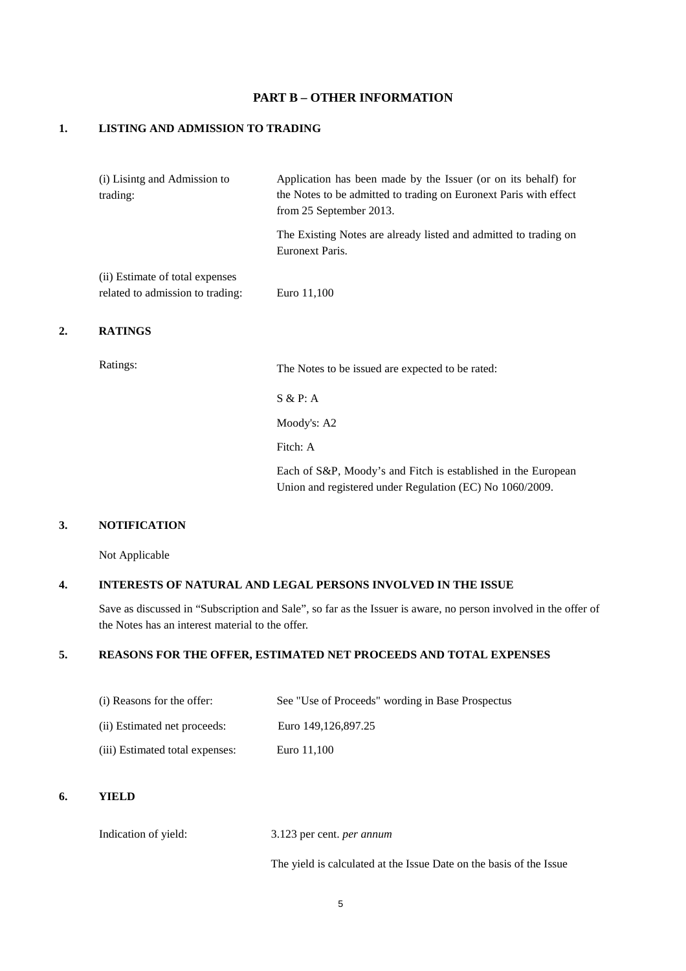# **PART B – OTHER INFORMATION**

### **1. LISTING AND ADMISSION TO TRADING**

|    | (i) Lisintg and Admission to<br>trading:                            | Application has been made by the Issuer (or on its behalf) for<br>the Notes to be admitted to trading on Euronext Paris with effect<br>from 25 September 2013. |
|----|---------------------------------------------------------------------|----------------------------------------------------------------------------------------------------------------------------------------------------------------|
|    |                                                                     | The Existing Notes are already listed and admitted to trading on<br>Euronext Paris.                                                                            |
|    | (ii) Estimate of total expenses<br>related to admission to trading: | Euro 11,100                                                                                                                                                    |
| 2. | <b>RATINGS</b>                                                      |                                                                                                                                                                |
|    | Ratings:                                                            | The Notes to be issued are expected to be rated:                                                                                                               |

S & P: A

Moody's: A2

Fitch: A

Each of S&P, Moody's and Fitch is established in the European Union and registered under Regulation (EC) No 1060/2009.

## **3. NOTIFICATION**

Not Applicable

### **4. INTERESTS OF NATURAL AND LEGAL PERSONS INVOLVED IN THE ISSUE**

Save as discussed in "Subscription and Sale", so far as the Issuer is aware, no person involved in the offer of the Notes has an interest material to the offer.

### **5. REASONS FOR THE OFFER, ESTIMATED NET PROCEEDS AND TOTAL EXPENSES**

| (i) Reasons for the offer:      | See "Use of Proceeds" wording in Base Prospectus |
|---------------------------------|--------------------------------------------------|
| (ii) Estimated net proceeds:    | Euro 149.126.897.25                              |
| (iii) Estimated total expenses: | Euro 11.100                                      |

#### **6. YIELD**

Indication of yield: 3.123 per cent. *per annum* 

The yield is calculated at the Issue Date on the basis of the Issue